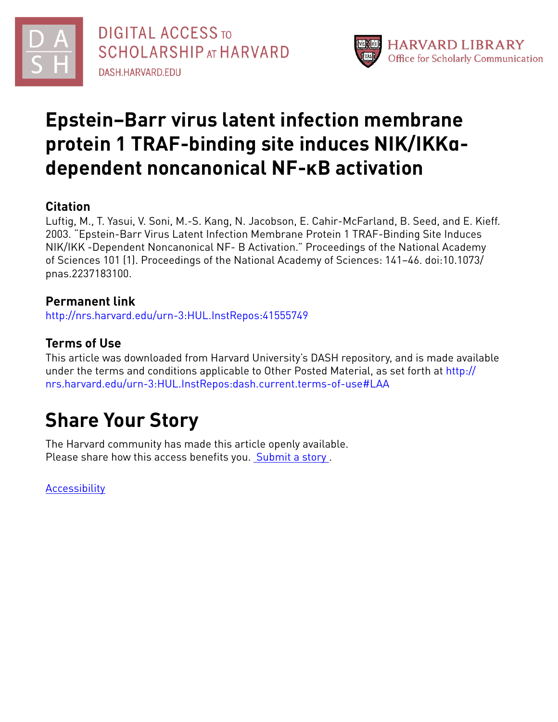



## **Epstein–Barr virus latent infection membrane protein 1 TRAF-binding site induces NIK/IKKαdependent noncanonical NF-κB activation**

## **Citation**

Luftig, M., T. Yasui, V. Soni, M.-S. Kang, N. Jacobson, E. Cahir-McFarland, B. Seed, and E. Kieff. 2003. "Epstein-Barr Virus Latent Infection Membrane Protein 1 TRAF-Binding Site Induces NIK/IKK -Dependent Noncanonical NF- B Activation." Proceedings of the National Academy of Sciences 101 (1). Proceedings of the National Academy of Sciences: 141–46. doi:10.1073/ pnas.2237183100.

### **Permanent link**

<http://nrs.harvard.edu/urn-3:HUL.InstRepos:41555749>

### **Terms of Use**

This article was downloaded from Harvard University's DASH repository, and is made available under the terms and conditions applicable to Other Posted Material, as set forth at [http://](http://nrs.harvard.edu/urn-3:HUL.InstRepos:dash.current.terms-of-use#LAA) [nrs.harvard.edu/urn-3:HUL.InstRepos:dash.current.terms-of-use#LAA](http://nrs.harvard.edu/urn-3:HUL.InstRepos:dash.current.terms-of-use#LAA)

# **Share Your Story**

The Harvard community has made this article openly available. Please share how this access benefits you. [Submit](http://osc.hul.harvard.edu/dash/open-access-feedback?handle=&title=Epstein%E2%80%93Barr%20virus%20latent%20infection%20membrane%20protein%201%20TRAF-binding%20site%20induces%20NIK/IKK%CE%B1-dependent%20noncanonical%20NF-%CE%BAB%20activation&community=1/4454685&collection=1/4454686&owningCollection1/4454686&harvardAuthors=7b814fec0c7ce5469810e06079d7da91&department) a story .

**[Accessibility](https://dash.harvard.edu/pages/accessibility)**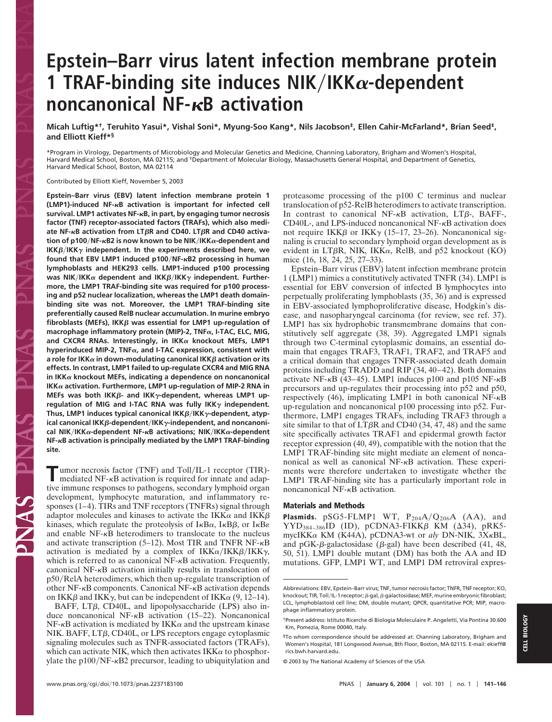## **Epstein–Barr virus latent infection membrane protein 1 TRAF-binding site induces NIK/IKK** $\alpha$ **-dependent noncanonical NF-RB activation**

**Micah Luftig\*†, Teruhito Yasui\*, Vishal Soni\*, Myung-Soo Kang\*, Nils Jacobson‡, Ellen Cahir-McFarland\*, Brian Seed‡, and Elliott Kieff\*§**

\*Program in Virology, Departments of Microbiology and Molecular Genetics and Medicine, Channing Laboratory, Brigham and Women's Hospital, Harvard Medical School, Boston, MA 02115; and <sup>‡</sup>Department of Molecular Biology, Massachusetts General Hospital, and Department of Genetics, Harvard Medical School, Boston, MA 02114

Contributed by Elliott Kieff, November 5, 2003

**Epstein–Barr virus (EBV) latent infection membrane protein 1 (LMP1)-induced NF-**-**B activation is important for infected cell survival. LMP1 activates NF-**-**B, in part, by engaging tumor necrosis factor (TNF) receptor-associated factors (TRAFs), which also mediate NF-**-**B activation from LTR and CD40. LTR and CD40 activation of p100NF-**-**B2 is now known to be NIKIKK-dependent and**  $IKK\beta/IKK\gamma$  independent. In the experiments described here, we **found that EBV LMP1 induced p100NF-**-**B2 processing in human lymphoblasts and HEK293 cells. LMP1-induced p100 processing** was NIK/IKK $\alpha$  dependent and IKK $\beta$ /IKK $\gamma$  independent. Further**more, the LMP1 TRAF-binding site was required for p100 processing and p52 nuclear localization, whereas the LMP1 death domainbinding site was not. Moreover, the LMP1 TRAF-binding site preferentially caused RelB nuclear accumulation. In murine embryo** fibroblasts (MEFs), IKK $\beta$  was essential for LMP1 up-regulation of macrophage inflammatory protein (MIP)-2, TNFα, I-TAC, ELC, MIG, and CXCR4 RNAs. Interestingly, in  $IKK\alpha$  knockout MEFs, LMP1 **hyperinduced MIP-2, TNF, and I-TAC expression, consistent with** a role for IKK $\alpha$  in down-modulating canonical IKK $\beta$  activation or its **effects. In contrast, LMP1 failed to up-regulate CXCR4 and MIG RNA** in  $IKK\alpha$  knockout MEFs, indicating a dependence on noncanonical **IKK activation. Furthermore, LMP1 up-regulation of MIP-2 RNA in** MEFs was both IKKβ- and IKK<sub>γ</sub>-dependent, whereas LMP1 upregulation of MIG and I-TAC RNA was fully  $IKK\gamma$  independent. Thus, LMP1 induces typical canonical IKKβ/IKK<sub>γ</sub>-dependent, atyp**ical canonical IKK**β-dependent/IKK<sub>γ</sub>-independent, and noncanoni**cal NIKIKK-dependent NF-**-**B activations; NIKIKK-dependent NF-**-**B activation is principally mediated by the LMP1 TRAF-binding site.**

**Tumor necrosis factor (TNF) and Toll/IL-1 receptor (TIR)-<br>mediated NF-<sub>K</sub>B activation is required for innate and adap**mediated  $NF$ - $\kappa$ B activation is required for innate and adaptive immune responses to pathogens, secondary lymphoid organ development, lymphocyte maturation, and inflammatory responses (1–4). TIRs and TNF receptors (TNFRs) signal through adaptor molecules and kinases to activate the IKK $\alpha$  and IKK $\beta$ kinases, which regulate the proteolysis of  $I \kappa B\alpha$ ,  $I \kappa B\beta$ , or  $I \kappa B\epsilon$ and enable NF- $\kappa$ B heterodimers to translocate to the nucleus and activate transcription (5–12). Most TIR and TNFR NF- $\kappa$ B activation is mediated by a complex of  $IKK\alpha / IKK\beta / IKK\gamma$ , which is referred to as canonical  $NF$ - $\kappa$ B activation. Frequently, canonical  $NF-\kappa B$  activation initially results in translocation of  $p50/RelA$  heterodimers, which then up-regulate transcription of other  $NF-\kappa B$  components. Canonical  $NF-\kappa B$  activation depends on IKK $\beta$  and IKK $\gamma$ , but can be independent of IKK $\alpha$  (9, 12–14).

BAFF,  $LT\beta$ , CD40L, and lipopolysaccharide (LPS) also induce noncanonical NF- $\kappa$ B activation (15–22). Noncanonical NF- $\kappa$ B activation is mediated by IKK $\alpha$  and the upstream kinase NIK. BAFF,  $LT\beta$ , CD40L, or LPS receptors engage cytoplasmic signaling molecules such as TNFR-associated factors (TRAFs), which can activate NIK, which then activates  $IKK\alpha$  to phosphorylate the  $p100/NF$ - $\kappa$ B2 precursor, leading to ubiquitylation and proteasome processing of the p100 C terminus and nuclear translocation of p52-RelB heterodimers to activate transcription. In contrast to canonical NF- $\kappa$ B activation, LT $\beta$ -, BAFF-, CD40L-, and LPS-induced noncanonical NF- $\kappa$ B activation does not require IKK $\beta$  or IKK $\gamma$  (15–17, 23–26). Noncanonical signaling is crucial to secondary lymphoid organ development as is evident in LT $\beta$ R, NIK, IKK $\alpha$ , RelB, and p52 knockout (KO) mice (16, 18, 24, 25, 27–33).

Epstein–Barr virus (EBV) latent infection membrane protein 1 (LMP1) mimics a constitutively activated TNFR (34). LMP1 is essential for EBV conversion of infected B lymphocytes into perpetually proliferating lymphoblasts (35, 36) and is expressed in EBV-associated lymphoproliferative disease, Hodgkin's disease, and nasopharyngeal carcinoma (for review, see ref. 37). LMP1 has six hydrophobic transmembrane domains that constitutively self aggregate (38, 39). Aggregated LMP1 signals through two C-terminal cytoplasmic domains, an essential domain that engages TRAF3, TRAF1, TRAF2, and TRAF5 and a critical domain that engages TNFR-associated death domain proteins including TRADD and RIP (34, 40–42). Both domains activate NF- $\kappa$ B (43–45). LMP1 induces p100 and p105 NF- $\kappa$ B precursors and up-regulates their processing into p52 and p50, respectively (46), implicating LMP1 in both canonical NF- $\kappa$ B up-regulation and noncanonical p100 processing into p52. Furthermore, LMP1 engages TRAFs, including TRAF3 through a site similar to that of  $LT\beta R$  and CD40 (34, 47, 48) and the same site specifically activates TRAF1 and epidermal growth factor receptor expression (40, 49), compatible with the notion that the LMP1 TRAF-binding site might mediate an element of noncanonical as well as canonical  $NF-\kappa B$  activation. These experiments were therefore undertaken to investigate whether the LMP1 TRAF-binding site has a particularly important role in noncanonical NF- $\kappa$ B activation.

### **Materials and Methods**

**Plasmids.** pSG5-FLMP1 WT,  $P_{204}A/Q_{206}A$  (AA), and  $YYD_{384-386}ID$  (ID), pCDNA3-FIKK $\beta$  KM ( $\Delta$ 34), pRK5mycIKKα KM (K44A), pCDNA3-wt or *aly* DN-NIK, 3XκBL, and pGK- $\beta$ -galactosidase ( $\beta$ -gal) have been described (41, 48, 50, 51). LMP1 double mutant (DM) has both the AA and ID mutations. GFP, LMP1 WT, and LMP1 DM retroviral expres-

Z<br>N<br>A

Abbreviations: EBV, Epstein–Barr virus; TNF, tumor necrosis factor; TNFR, TNF receptor; KO, knockout; TIR, Toll/IL-1 receptor;  $\beta$ -gal,  $\beta$ -galactosidase; MEF, murine embryonic fibroblast; LCL, lymphoblastoid cell line; DM, double mutant; QPCR, quantitative PCR; MIP, macrophage inflammatory protein.

<sup>†</sup>Present address: Istituto Ricerche di Biologia Moleculaire P. Angeletti, Via Pontina 30.600 Km, Pomezia, Rome 00040, Italy.

<sup>§</sup>To whom correspondence should be addressed at: Channing Laboratory, Brigham and Women's Hospital, 181 Longwood Avenue, 8th Floor, Boston, MA 02115. E-mail: ekieff@ rics.bwh.harvard.edu.

<sup>© 2003</sup> by The National Academy of Sciences of the USA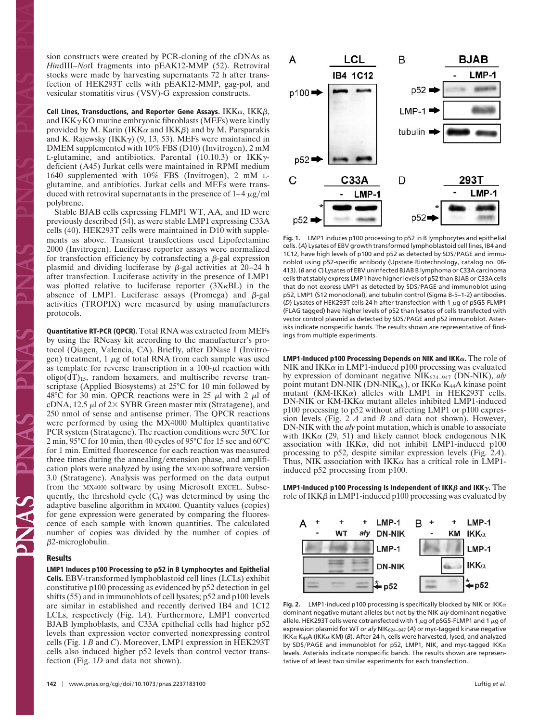sion constructs were created by PCR-cloning of the cDNAs as *Hin*dIII–*Not*I fragments into pEAK12-MMP (52). Retroviral stocks were made by harvesting supernatants 72 h after transfection of HEK293T cells with pEAK12-MMP, gag-pol, and vesicular stomatitis virus (VSV)-G expression constructs.

Cell Lines, Transductions, and Reporter Gene Assays.  $IKK\alpha, \, IKK\beta,$ and  $IKK\gamma KO$  murine embryonic fibroblasts (MEFs) were kindly provided by M. Karin (IKK $\alpha$  and IKK $\beta$ ) and by M. Parsparakis and K. Rajewsky (IKK $\gamma$ ) (9, 13, 53). MEFs were maintained in DMEM supplemented with 10% FBS (D10) (Invitrogen), 2 mM L-glutamine, and antibiotics. Parental  $(10.10.3)$  or IKK $\gamma$ deficient (A45) Jurkat cells were maintained in RPMI medium 1640 supplemented with 10% FBS (Invitrogen), 2 mM Lglutamine, and antibiotics. Jurkat cells and MEFs were transduced with retroviral supernatants in the presence of  $1-4 \mu g/ml$ polybrene.

Stable BJAB cells expressing FLMP1 WT, AA, and ID were previously described (54), as were stable LMP1 expressing C33A cells (40). HEK293T cells were maintained in D10 with supplements as above. Transient transfections used Lipofectamine 2000 (Invitrogen). Luciferase reporter assays were normalized for transfection efficiency by cotransfecting a  $\beta$ -gal expression plasmid and dividing luciferase by  $\beta$ -gal activities at 20–24 h after transfection. Luciferase activity in the presence of LMP1 was plotted relative to luciferase reporter  $(3X<sub>K</sub>BL)$  in the absence of LMP1. Luciferase assays (Promega) and  $\beta$ -gal activities (TROPIX) were measured by using manufacturers protocols.

**Quantitative RT-PCR (QPCR).** Total RNA was extracted from MEFs by using the RNeasy kit according to the manufacturer's protocol (Qiagen, Valencia, CA). Briefly, after DNase I (Invitrogen) treatment,  $1 \mu g$  of total RNA from each sample was used as template for reverse transcription in a  $100-\mu$  reaction with  $oligo(dT)<sub>15</sub>$ , random hexamers, and multiscribe reverse transcriptase (Applied Biosystems) at 25°C for 10 min followed by 48°C for 30 min. QPCR reactions were in 25  $\mu$ l with 2  $\mu$ l of cDNA, 12.5  $\mu$ l of 2× SYBR Green master mix (Stratagene), and 250 nmol of sense and antisense primer. The QPCR reactions were performed by using the MX4000 Multiplex quantitative PCR system (Stratagene). The reaction conditions were 50°C for 2 min, 95°C for 10 min, then 40 cycles of 95°C for 15 sec and 60°C for 1 min. Emitted fluorescence for each reaction was measured three times during the annealing/extension phase, and amplification plots were analyzed by using the MX4000 software version 3.0 (Stratagene). Analysis was performed on the data output from the MX4000 software by using Microsoft EXCEL. Subsequently, the threshold cycle  $(C_t)$  was determined by using the adaptive baseline algorithm in MX4000. Quantity values (copies) for gene expression were generated by comparing the fluorescence of each sample with known quantities. The calculated number of copies was divided by the number of copies of  $\beta$ 2-microglobulin.

#### **Results**

**LMP1 Induces p100 Processing to p52 in B Lymphocytes and Epithelial Cells.** EBV-transformed lymphoblastoid cell lines (LCLs) exhibit constitutive p100 processing as evidenced by p52 detection in gel shifts (55) and in immunoblots of cell lysates; p52 and p100 levels are similar in established and recently derived IB4 and 1C12 LCLs, respectively (Fig. 1*A*). Furthermore, LMP1 converted BJAB lymphoblasts, and C33A epithelial cells had higher p52 levels than expression vector converted nonexpressing control cells (Fig. 1 *B* and *C*). Moreover, LMP1 expression in HEK293T cells also induced higher p52 levels than control vector transfection (Fig. 1*D* and data not shown).



**Fig. 1.** LMP1 induces p100 processing to p52 in B lymphocytes and epithelial cells. (*A*) Lysates of EBV growth transformed lymphoblastoid cell lines, IB4 and 1C12, have high levels of p100 and p52 as detected by SDS/PAGE and immunoblot using p52-specific antibody (Upstate Biotechnology, catalog no. 06- 413). (*B* and *C*) Lysates of EBV uninfected BJAB B lymphoma or C33A carcinoma cells that stably express LMP1 have higher levels of p52 than BJAB or C33A cells that do not express LMP1 as detected by SDS/PAGE and immunoblot using p52, LMP1 (S12 monoclonal), and tubulin control (Sigma B-5–1-2) antibodies. ( $D$ ) Lysates of HEK293T cells 24 h after transfection with 1  $\mu$ g of pSG5-FLMP1 (FLAG tagged) have higher levels of p52 than lysates of cells transfected with vector control plasmid as detected by SDS/PAGE and p52 immunoblot. Asterisks indicate nonspecific bands. The results shown are representative of findings from multiple experiments.

**LMP1-Induced p100 Processing Depends on NIK and IKK.** The role of NIK and IKK $\alpha$  in LMP1-induced p100 processing was evaluated by expression of dominant negative NIK624–947 (DN-NIK), *aly* point mutant DN-NIK (DN-NIK<sub>aly</sub>), or IKK $\alpha$  K<sub>44</sub>A kinase point mutant (KM-IKK $\alpha$ ) alleles with LMP1 in HEK293T cells.  $DN-NIK$  or  $KM-IKK\alpha$  mutant alleles inhibited LMP1-induced p100 processing to p52 without affecting LMP1 or p100 expression levels (Fig. 2 *A* and *B* and data not shown). However, DN-NIK with the *aly* point mutation, which is unable to associate with IKK $\alpha$  (29, 51) and likely cannot block endogenous NIK association with IKK $\alpha$ , did not inhibit LMP1-induced p100 processing to p52, despite similar expression levels (Fig. 2*A*). Thus, NIK association with  $IKK\alpha$  has a critical role in LMP1induced p52 processing from p100.

**LMP1-Induced p100 Processing Is Independent of IKK** $\beta$  **and IKK** $\gamma$ **.** The role of IKK $\beta$  in LMP1-induced p100 processing was evaluated by



**Fig. 2.** LMP1-induced p100 processing is specifically blocked by NIK or IKK $\alpha$ dominant negative mutant alleles but not by the NIK *aly* dominant negative allele. HEK293T cells were cotransfected with 1  $\mu$ g of pSG5-FLMP1 and 1  $\mu$ g of expression plasmid for WT or *aly* NIK<sub>624-947</sub> (A) or myc-tagged kinase negative IKK $\alpha$  K<sub>44</sub>A (IKK $\alpha$  KM) (*B*). After 24 h, cells were harvested, lysed, and analyzed by SDS/PAGE and immunoblot for p52, LMP1, NIK, and myc-tagged IKK $\alpha$ levels. Asterisks indicate nonspecific bands. The results shown are representative of at least two similar experiments for each transfection.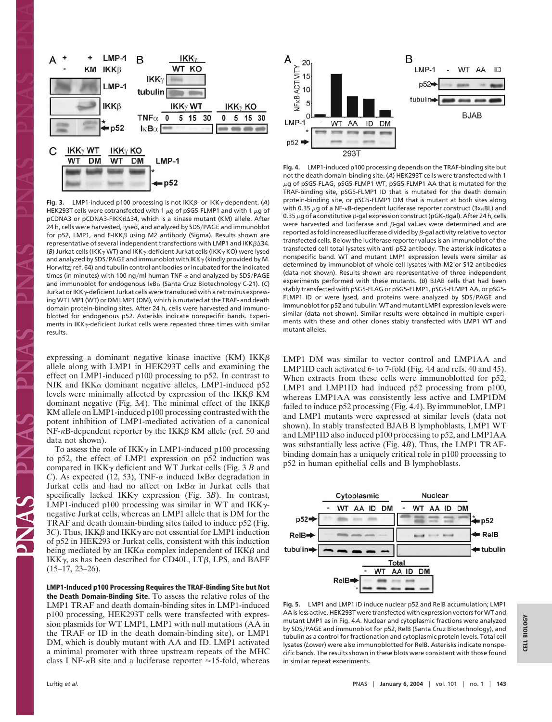

Fig. 3. LMP1-induced p100 processing is not IKKβ- or IKK<sub>γ</sub>-dependent. (A) HEK293T cells were cotransfected with 1  $\mu$ g of pSG5-FLMP1 and with 1  $\mu$ g of  $pCDNA3$  or  $pCDNA3-FIKK $\beta\Delta 34$ , which is a kinase mutant (KM) allele. After$ 24 h, cells were harvested, lysed, and analyzed by SDS/PAGE and immunoblot for p52, LMP1, and F-IKK $\beta$  using M2 antibody (Sigma). Results shown are representative of several independent transfections with LMP1 and IKK $\beta\Delta 34$ . (B) Jurkat cells (IKK $\gamma$ WT) and IKK $\gamma$ -deficient Jurkat cells (IKK $\gamma$ KO) were lysed and analyzed by SDS/PAGE and immunoblot with IKK $\gamma$  (kindly provided by M. Horwitz; ref. 64) and tubulin control antibodies or incubated for the indicated times (in minutes) with 100 ng/ml human TNF- $\alpha$  and analyzed by SDS/PAGE and immunoblot for endogenous I<sub>KBa</sub> (Santa Cruz Biotechnology C-21). (C) Jurkat or IKK<sub>y</sub>-deficient Jurkat cells were transduced with a retrovirus expressing WT LMP1 (WT) or DM LMP1 (DM), which is mutated at the TRAF- and death domain protein-binding sites. After 24 h, cells were harvested and immunoblotted for endogenous p52. Asterisks indicate nonspecific bands. Experiments in IKK $\gamma$ -deficient Jurkat cells were repeated three times with similar results.

expressing a dominant negative kinase inactive  $(KM)$  IKK $\beta$ allele along with LMP1 in HEK293T cells and examining the effect on LMP1-induced p100 processing to p52. In contrast to NIK and IKK $\alpha$  dominant negative alleles, LMP1-induced p52 levels were minimally affected by expression of the  $IKK\beta KM$ dominant negative (Fig.  $3A$ ). The minimal effect of the IKK $\beta$ KM allele on LMP1-induced p100 processing contrasted with the potent inhibition of LMP1-mediated activation of a canonical  $NF-\kappa B$ -dependent reporter by the IKK $\beta$  KM allele (ref. 50 and data not shown).

To assess the role of IKK $\gamma$  in LMP1-induced p100 processing to p52, the effect of LMP1 expression on p52 induction was compared in  $IKK\gamma$  deficient and WT Jurkat cells (Fig. 3 *B* and *C*). As expected (12, 53), TNF- $\alpha$  induced I<sub>K</sub>B $\alpha$  degradation in Jurkat cells and had no affect on  $I\kappa B\alpha$  in Jurkat cells that specifically lacked  $IKK\gamma$  expression (Fig. 3*B*). In contrast, LMP1-induced p100 processing was similar in WT and  $IKK\gamma$ negative Jurkat cells, whereas an LMP1 allele that is DM for the TRAF and death domain-binding sites failed to induce p52 (Fig.  $3C$ ). Thus, IKK $\beta$  and IKK $\gamma$  are not essential for LMP1 induction of p52 in HEK293 or Jurkat cells, consistent with this induction being mediated by an IKK $\alpha$  complex independent of IKK $\beta$  and IKK $\gamma$ , as has been described for CD40L, LT $\beta$ , LPS, and BAFF (15–17, 23–26).

**LMP1-Induced p100 Processing Requires the TRAF-Binding Site but Not the Death Domain-Binding Site.** To assess the relative roles of the LMP1 TRAF and death domain-binding sites in LMP1-induced p100 processing, HEK293T cells were transfected with expression plasmids for WT LMP1, LMP1 with null mutations (AA in the TRAF or ID in the death domain-binding site), or LMP1 DM, which is doubly mutant with AA and ID. LMP1 activated a minimal promoter with three upstream repeats of the MHC class I NF- $\kappa$ B site and a luciferase reporter  $\approx$  15-fold, whereas



**Fig. 4.** LMP1-induced p100 processing depends on the TRAF-binding site but not the death domain-binding site. (*A*) HEK293T cells were transfected with 1  $\mu$ g of pSG5-FLAG, pSG5-FLMP1 WT, pSG5-FLMP1 AA that is mutated for the TRAF-binding site, pSG5-FLMP1 ID that is mutated for the death domain protein-binding site, or pSG5-FLMP1 DM that is mutant at both sites along with 0.35  $\mu$ g of a NF- $\kappa$ B-dependent luciferase reporter construct (3x $\kappa$ BL) and 0.35  $\mu$ g of a constitutive  $\beta$ -gal expression construct (pGK- $\beta$ gal). After 24 h, cells were harvested and luciferase and  $\beta$ -gal values were determined and are reported as fold increased luciferase divided by  $\beta$ -gal activity relative to vector transfected cells. Below the luciferase reporter values is an immunoblot of the transfected cell total lysates with anti-p52 antibody. The asterisk indicates a nonspecific band. WT and mutant LMP1 expression levels were similar as determined by immunoblot of whole cell lysates with M2 or S12 antibodies (data not shown). Results shown are representative of three independent experiments performed with these mutants. (*B*) BJAB cells that had been stably transfected with pSG5-FLAG or pSG5-FLMP1, pSG5-FLMP1 AA, or pSG5- FLMP1 ID or were lysed, and proteins were analyzed by SDS/PAGE and immunoblot for p52 and tubulin. WT and mutant LMP1 expression levels were similar (data not shown). Similar results were obtained in multiple experiments with these and other clones stably transfected with LMP1 WT and mutant alleles.

LMP1 DM was similar to vector control and LMP1AA and LMP1ID each activated 6- to 7-fold (Fig. 4*A* and refs. 40 and 45). When extracts from these cells were immunoblotted for p52, LMP1 and LMP1ID had induced p52 processing from p100, whereas LMP1AA was consistently less active and LMP1DM failed to induce p52 processing (Fig. 4*A*). By immunoblot, LMP1 and LMP1 mutants were expressed at similar levels (data not shown). In stably transfected BJAB B lymphoblasts, LMP1 WT and LMP1ID also induced p100 processing to p52, and LMP1AA was substantially less active (Fig. 4*B*). Thus, the LMP1 TRAFbinding domain has a uniquely critical role in p100 processing to p52 in human epithelial cells and B lymphoblasts.



**Fig. 5.** LMP1 and LMP1 ID induce nuclear p52 and RelB accumulation; LMP1 AA is less active. HEK293T were transfected with expression vectors for WT and mutant LMP1 as in Fig. 4*A*. Nuclear and cytoplasmic fractions were analyzed by SDS/PAGE and immunoblot for p52, RelB (Santa Cruz Biotechnology), and tubulin as a control for fractionation and cytoplasmic protein levels. Total cell lysates (*Lower*) were also immunoblotted for RelB. Asterisks indicate nonspecific bands. The results shown in these blots were consistent with those found in similar repeat experiments.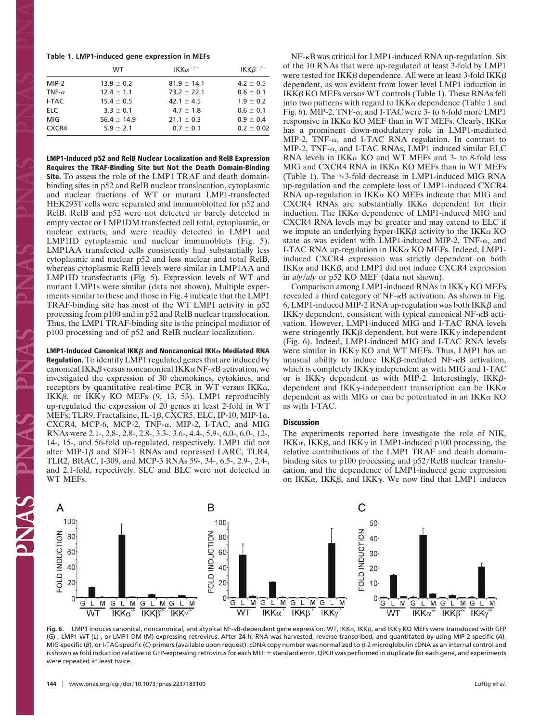|  |  |  |  | Table 1. LMP1-induced gene expression in MEFs |  |  |
|--|--|--|--|-----------------------------------------------|--|--|
|--|--|--|--|-----------------------------------------------|--|--|

|               | WT              | IKK $\alpha^{-/-}$ | $IKK\beta^{-/-}$ |
|---------------|-----------------|--------------------|------------------|
| MIP-2         | $13.9 \pm 0.2$  | $81.9 \pm 14.1$    | $4.2 \pm 0.5$    |
| TNF- $\alpha$ | $12.4 \pm 1.1$  | $73.2 \pm 22.1$    | $0.6 \pm 0.1$    |
| I-TAC         | $15.4 \pm 0.5$  | $42.1 \pm 4.5$     | $1.9 \pm 0.2$    |
| ELC.          | $3.3 \pm 0.1$   | $4.7 \pm 1.8$      | $0.6 \pm 0.1$    |
| MIG           | $56.4 \pm 14.9$ | $21.1 \pm 0.3$     | $0.9 \pm 0.4$    |
| CXCR4         | $5.9 \pm 2.1$   | $0.7 \pm 0.1$      | $0.2 \pm 0.02$   |

**LMP1-Induced p52 and RelB Nuclear Localization and RelB Expression Requires the TRAF-Binding Site but Not the Death Domain-Binding Site.** To assess the role of the LMP1 TRAF and death domainbinding sites in p52 and RelB nuclear translocation, cytoplasmic and nuclear fractions of WT or mutant LMP1-transfected HEK293T cells were separated and immunoblotted for p52 and RelB. RelB and p52 were not detected or barely detected in empty vector or LMP1DM transfected cell total, cytoplasmic, or nuclear extracts, and were readily detected in LMP1 and LMP1ID cytoplasmic and nuclear immunoblots (Fig. 5). LMP1AA transfected cells consistently had substantially less cytoplasmic and nuclear p52 and less nuclear and total RelB, whereas cytoplasmic RelB levels were similar in LMP1AA and LMP1ID transfectants (Fig. 5). Expression levels of WT and mutant LMP1s were similar (data not shown). Multiple experiments similar to these and those in Fig. 4 indicate that the LMP1 TRAF-binding site has most of the WT LMP1 activity in p52 processing from p100 and in p52 and RelB nuclear translocation. Thus, the LMP1 TRAF-binding site is the principal mediator of p100 processing and of p52 and RelB nuclear localization.

**LMP1-Induced Canonical IKK** $\beta$  and Noncanonical IKK $\alpha$  Mediated RNA **Regulation.** To identify LMP1 regulated genes that are induced by canonical IKK $\beta$  versus noncanonical IKK $\alpha$  NF- $\kappa$ B activation, we investigated the expression of 30 chemokines, cytokines, and receptors by quantitative real-time PCR in WT versus  $IKK\alpha$ , IKK $\beta$ , or IKK $\gamma$  KO MEFs (9, 13, 53). LMP1 reproducibly up-regulated the expression of 20 genes at least 2-fold in WT MEFs; TLR9, Fractalkine, IL-1 $\beta$ , CXCR5, ELC, IP-10, MIP-1 $\alpha$ ,  $CXCR4$ , MCP-6, MCP-2, TNF- $\alpha$ , MIP-2, I-TAC, and MIG RNAs were 2.1-, 2.8-, 2.8-, 2.8-, 3.3-, 3.6-, 4.4-, 5.9-, 6.0-, 6.0-, 12-, 14-, 15-, and 56-fold up-regulated, respectively. LMP1 did not alter MIP-1 $\beta$  and SDF-1 RNAs and repressed LARC, TLR4, TLR2, BRAC, I-309, and MCP-3 RNAs 59-, 34-, 6.5-, 2.9-, 2.4-, and 2.1-fold, repectively. SLC and BLC were not detected in WT MEFs.

 $NF-\kappa B$  was critical for LMP1-induced RNA up-regulation. Six of the 10 RNAs that were up-regulated at least 3-fold by LMP1 were tested for  $IKK\beta$  dependence. All were at least 3-fold  $IKK\beta$ dependent, as was evident from lower level LMP1 induction in  $IKK\beta KOMEFs$  versus WT controls (Table 1). These RNAs fell into two patterns with regard to  $IKK\alpha$  dependence (Table 1 and Fig. 6). MIP-2, TNF- $\alpha$ , and I-TAC were 3- to 6-fold more LMP1 responsive in IKK $\alpha$  KO MEF than in WT MEFs. Clearly, IKK $\alpha$ has a prominent down-modulatory role in LMP1-mediated MIP-2, TNF- $\alpha$ , and I-TAC RNA regulation. In contrast to  $MIP-2$ , TNF- $\alpha$ , and I-TAC RNAs, LMP1 induced similar ELC RNA levels in  $IKK\alpha$  KO and WT MEFs and 3- to 8-fold less MIG and CXCR4 RNA in  $IKK\alpha$  KO MEFs than in WT MEFs (Table 1). The  $\approx$ 3-fold decrease in LMP1-induced MIG RNA up-regulation and the complete loss of LMP1-induced CXCR4 RNA up-regulation in  $IKK\alpha$  KO MEFs indicate that MIG and  $CXCR4$  RNAs are substantially IKK $\alpha$  dependent for their induction. The  $IKK\alpha$  dependence of LMP1-induced MIG and CXCR4 RNA levels may be greater and may extend to ELC if we impute an underlying hyper-IKK $\beta$  activity to the IKK $\alpha$  KO state as was evident with LMP1-induced MIP-2, TNF- $\alpha$ , and I-TAC RNA up-regulation in  $IKK\alpha$  KO MEFs. Indeed, LMP1induced CXCR4 expression was strictly dependent on both IKK $\alpha$  and IKK $\beta$ , and LMP1 did not induce CXCR4 expression in *alyaly* or p52 KO MEF (data not shown).

Comparison among LMP1-induced RNAs in  $IKK<sub>\gamma</sub> KOMEFs$ revealed a third category of  $NF-\kappa B$  activation. As shown in Fig. 6, LMP1-induced MIP-2 RNA up-regulation was both  $IKK\beta$  and  $IKK\gamma$  dependent, consistent with typical canonical NF- $\kappa$ B activation. However, LMP1-induced MIG and I-TAC RNA levels were stringently IKK $\beta$  dependent, but were IKK $\gamma$  independent (Fig. 6). Indeed, LMP1-induced MIG and I-TAC RNA levels were similar in  $IKK\gamma KO$  and WT MEFs. Thus, LMP1 has an unusual ability to induce  $IKK\beta$ -mediated NF- $\kappa$ B activation, which is completely  $IKK\gamma$  independent as with MIG and I-TAC or is IKK $\gamma$  dependent as with MIP-2. Interestingly, IKK $\beta$ dependent and IKK $\gamma$ -independent transcription can be IKK $\alpha$ dependent as with MIG or can be potentiated in an  $IKK\alpha KO$ as with I-TAC.

#### **Discussion**

The experiments reported here investigate the role of NIK, IKK $\alpha$ , IKK $\beta$ , and IKK $\gamma$  in LMP1-induced p100 processing, the relative contributions of the LMP1 TRAF and death domainbinding sites to  $p100$  processing and  $p52/RelB$  nuclear translocation, and the dependence of LMP1-induced gene expression on IKK $\alpha$ , IKK $\beta$ , and IKK $\gamma$ . We now find that LMP1 induces



**Fig. 6.** LMP1 induces canonical, noncanonical, and atypical NF-<sub>K</sub>B-dependent gene expression. WT, IKK $\alpha$ , IKK $\beta$ , and IKK $\gamma$  KO MEFs were transduced with GFP (G)-, LMP1 WT (L)-, or LMP1 DM (M)-expressing retrovirus. After 24 h, RNA was harvested, reverse transcribed, and quantitated by using MIP-2-specific (*A*), MIG-specific (*B*), or I-TAC-specific (*C*) primers (available upon request). cDNA copy number was normalized to β-2 microglobulin cDNA as an internal control and is shown as fold induction relative to GFP-expressing retrovirus for each MEF  $\pm$  standard error. QPCR was performed in duplicate for each gene, and experiments were repeated at least twice.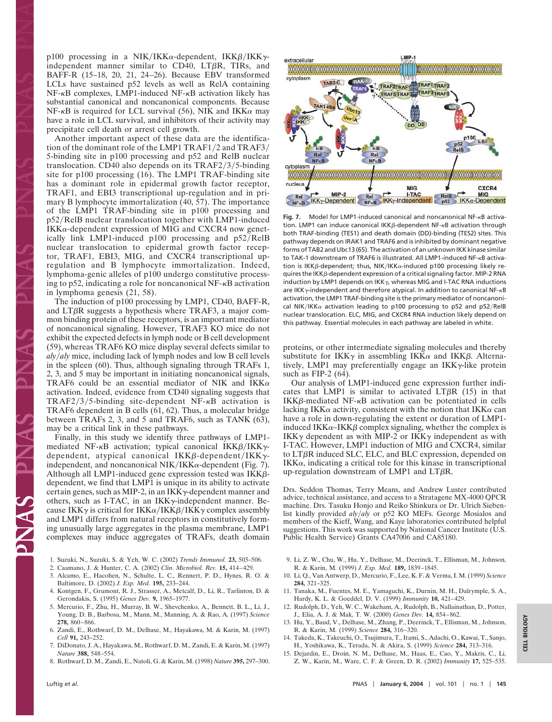p100 processing in a NIK/IKK $\alpha$ -dependent, IKK $\beta$ /IKK $\gamma$ independent manner similar to  $CD40$ ,  $LT $\beta$ R$ , TIRs, and BAFF-R (15–18, 20, 21, 24–26). Because EBV transformed LCLs have sustained p52 levels as well as RelA containing  $NF-\kappa B$  complexes, LMP1-induced  $NF-\kappa B$  activation likely has substantial canonical and noncanonical components. Because NF- $\kappa$ B is required for LCL survival (56), NIK and IKK $\alpha$  may have a role in LCL survival, and inhibitors of their activity may precipitate cell death or arrest cell growth.

Another important aspect of these data are the identification of the dominant role of the LMP1 TRAF1/2 and TRAF3/ 5-binding site in p100 processing and p52 and RelB nuclear translocation. CD40 also depends on its  $TRAF2/3/5$ -binding site for p100 processing (16). The LMP1 TRAF-binding site has a dominant role in epidermal growth factor receptor, TRAF1, and EBI3 transcriptional up-regulation and in primary B lymphocyte immortalization (40, 57). The importance of the LMP1 TRAF-binding site in p100 processing and p52/RelB nuclear translocation together with LMP1-induced  $IKK\alpha$ -dependent expression of MIG and CXCR4 now genetically link LMP1-induced  $p100$  processing and  $p52/RelB$ nuclear translocation to epidermal growth factor receptor, TRAF1, EBI3, MIG, and CXCR4 transcriptional upregulation and B lymphocyte immortalization. Indeed, lymphoma-genic alleles of p100 undergo constitutive processing to p52, indicating a role for noncanonical  $NF - \kappa B$  activation in lymphoma genesis (21, 58).

The induction of p100 processing by LMP1, CD40, BAFF-R, and  $LT\beta R$  suggests a hypothesis where TRAF3, a major common binding protein of these receptors, is an important mediator of noncanonical signaling. However, TRAF3 KO mice do not exhibit the expected defects in lymph node or B cell development (59), whereas TRAF6 KO mice display several defects similar to *alyaly* mice, including lack of lymph nodes and low B cell levels in the spleen (60). Thus, although signaling through TRAFs 1, 2, 3, and 5 may be important in initiating noncanonical signals, TRAF6 could be an essential mediator of NIK and IKK $\alpha$ activation. Indeed, evidence from CD40 signaling suggests that TRAF2/3/5-binding site-dependent NF- $\kappa$ B activation is TRAF6 dependent in B cells (61, 62). Thus, a molecular bridge between TRAFs 2, 3, and 5 and TRAF6, such as TANK (63), may be a critical link in these pathways.

Finally, in this study we identify three pathways of LMP1 mediated NF- $\kappa$ B activation; typical canonical IKK $\beta$ /IKK $\gamma$ dependent, atypical canonical IKK $\beta$ -dependent/IKK $\gamma$ independent, and noncanonical NIK/IKK $\alpha$ -dependent (Fig. 7). Although all LMP1-induced gene expression tested was  $IKK\beta$ dependent, we find that LMP1 is unique in its ability to activate certain genes, such as MIP-2, in an  $IKK\gamma$ -dependent manner and others, such as I-TAC, in an IKK $\gamma$ -independent manner. Because IKK $\gamma$  is critical for IKK $\alpha$ /IKK $\beta$ /IKK $\gamma$  complex assembly and LMP1 differs from natural receptors in constitutively forming unusually large aggregates in the plasma membrane, LMP1 complexes may induce aggregates of TRAFs, death domain

- 1. Suzuki, N., Suzuki, S. & Yeh, W. C. (2002) *Trends Immunol.* **23,** 503–506.
- 2. Caamano, J. & Hunter, C. A. (2002) *Clin. Microbiol. Rev.* **15,** 414–429.
- 3. Alcamo, E., Hacohen, N., Schulte, L. C., Rennert, P. D., Hynes, R. O. &
- Baltimore, D. (2002) *J. Exp. Med.* **195,** 233–244. 4. Kontgen, F., Grumont, R. J., Strasser, A., Metcalf, D., Li, R., Tarlinton, D. & Gerondakis, S. (1995) *Genes Dev.* **9,** 1965–1977.
- 5. Mercurio, F., Zhu, H., Murray, B. W., Shevchenko, A., Bennett, B. L., Li, J., Young, D. B., Barbosa, M., Mann, M., Manning, A. & Rao, A. (1997) *Science* **278,** 860–866.
- 6. Zandi, E., Rothwarf, D. M., Delhase, M., Hayakawa, M. & Karin, M. (1997) *Cell* **91,** 243–252.
- 7. DiDonato, J. A., Hayakawa, M., Rothwarf, D. M., Zandi, E. & Karin, M. (1997) *Nature* **388,** 548–554.
- 8. Rothwarf, D. M., Zandi, E., Natoli, G. & Karin, M. (1998) *Nature* **395,** 297–300.



Fig. 7. Model for LMP1-induced canonical and noncanonical NF-<sub>K</sub>B activation. LMP1 can induce canonical  $IKK\beta$ -dependent NF- $\kappa$ B activation through both TRAF-binding (TES1) and death domain (DD)-binding (TES2) sites. This pathway depends on IRAK1 and TRAF6 and is inhibited by dominant negative forms of TAB2 and Ubc13 (65). The activation of an unknown IKK kinase similar to TAK-1 downstream of TRAF6 is illustrated. All LMP1-induced NF-KB activation is IKK $\beta$ -dependent; thus, NIK/IKK $\alpha$ -induced p100 processing likely requires the IKKB-dependent expression of a critical signaling factor. MIP-2 RNA induction by LMP1 depends on IKK $\gamma$ , whereas MIG and I-TAC RNA inductions are IKK $\gamma$ -independent and therefore atypical. In addition to canonical NF- $\kappa$ B activation, the LMP1 TRAF-binding site is the primary mediator of noncanonical NIK/IKK $\alpha$  activation leading to p100 processing to p52 and p52/RelB nuclear translocation. ELC, MIG, and CXCR4 RNA induction likely depend on this pathway. Essential molecules in each pathway are labeled in white.

proteins, or other intermediate signaling molecules and thereby substitute for IKK $\gamma$  in assembling IKK $\alpha$  and IKK $\beta$ . Alternatively, LMP1 may preferentially engage an  $IKK\gamma$ -like protein such as FIP-2 (64).

Our analysis of LMP1-induced gene expression further indicates that LMP1 is similar to activated LT $\beta$ R (15) in that IKK $\beta$ -mediated NF- $\kappa$ B activation can be potentiated in cells lacking IKK $\alpha$  activity, consistent with the notion that IKK $\alpha$  can have a role in down-regulating the extent or duration of LMP1 induced IKK $\alpha$ –IKK $\beta$  complex signaling, whether the complex is IKK $\gamma$  dependent as with MIP-2 or IKK $\gamma$  independent as with I-TAC. However, LMP1 induction of MIG and CXCR4, similar to  $LT\beta R$  induced SLC, ELC, and BLC expression, depended on  $IKK\alpha$ , indicating a critical role for this kinase in transcriptional up-regulation downstream of LMP1 and LTR.

Drs. Seddon Thomas, Terry Means, and Andrew Luster contributed advice, technical assistance, and access to a Stratagene MX-4000 QPCR machine. Drs. Tasuku Honjo and Reiko Shinkura or Dr. Ulrich Siebenlist kindly provided *alyaly* or p52 KO MEFs. George Mosialos and members of the Kieff, Wang, and Kaye laboratories contributed helpful suggestions. This work was supported by National Cancer Institute (U.S. Public Health Service) Grants CA47006 and CA85180.

- 9. Li, Z. W., Chu, W., Hu, Y., Delhase, M., Deerinck, T., Ellisman, M., Johnson, R. & Karin, M. (1999) *J. Exp. Med.* **189,** 1839–1845.
- 10. Li, Q., Van Antwerp, D., Mercurio, F., Lee, K. F. & Verma, I. M. (1999) *Science* **284,** 321–325.
- 11. Tanaka, M., Fuentes, M. E., Yamaguchi, K., Durnin, M. H., Dalrymple, S. A., Hardy, K. L. & Goeddel, D. V. (1999) *Immunity* **10,** 421–429.
- 12. Rudolph, D., Yeh, W. C., Wakeham, A., Rudolph, B., Nallainathan, D., Potter, J., Elia, A. J. & Mak, T. W. (2000) *Genes Dev.* **14,** 854–862.
- 13. Hu, Y., Baud, V., Delhase, M., Zhang, P., Deerinck, T., Ellisman, M., Johnson, R. & Karin, M. (1999) *Science* **284,** 316–320.
- 14. Takeda, K., Takeuchi, O., Tsujimura, T., Itami, S., Adachi, O., Kawai, T., Sanjo, H., Yoshikawa, K., Terada, N. & Akira, S. (1999) *Science* **284,** 313–316.
- 15. Dejardin, E., Droin, N. M., Delhase, M., Haas, E., Cao, Y., Makris, C., Li, Z. W., Karin, M., Ware, C. F. & Green, D. R. (2002) *Immunity* **17,** 525–535.